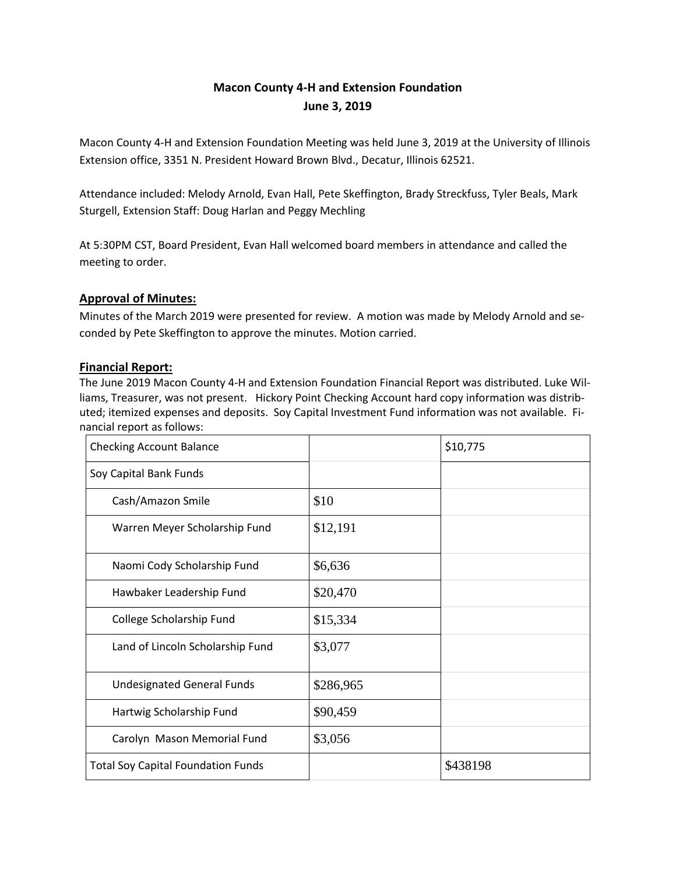# **Macon County 4-H and Extension Foundation June 3, 2019**

Macon County 4-H and Extension Foundation Meeting was held June 3, 2019 at the University of Illinois Extension office, 3351 N. President Howard Brown Blvd., Decatur, Illinois 62521.

Attendance included: Melody Arnold, Evan Hall, Pete Skeffington, Brady Streckfuss, Tyler Beals, Mark Sturgell, Extension Staff: Doug Harlan and Peggy Mechling

At 5:30PM CST, Board President, Evan Hall welcomed board members in attendance and called the meeting to order.

# **Approval of Minutes:**

Minutes of the March 2019 were presented for review. A motion was made by Melody Arnold and seconded by Pete Skeffington to approve the minutes. Motion carried.

# **Financial Report:**

The June 2019 Macon County 4-H and Extension Foundation Financial Report was distributed. Luke Williams, Treasurer, was not present. Hickory Point Checking Account hard copy information was distributed; itemized expenses and deposits. Soy Capital Investment Fund information was not available. Financial report as follows:

| <b>Checking Account Balance</b>           |           | \$10,775 |
|-------------------------------------------|-----------|----------|
| Soy Capital Bank Funds                    |           |          |
| Cash/Amazon Smile                         | \$10      |          |
| Warren Meyer Scholarship Fund             | \$12,191  |          |
| Naomi Cody Scholarship Fund               | \$6,636   |          |
| Hawbaker Leadership Fund                  | \$20,470  |          |
| College Scholarship Fund                  | \$15,334  |          |
| Land of Lincoln Scholarship Fund          | \$3,077   |          |
| <b>Undesignated General Funds</b>         | \$286,965 |          |
| Hartwig Scholarship Fund                  | \$90,459  |          |
| Carolyn Mason Memorial Fund               | \$3,056   |          |
| <b>Total Soy Capital Foundation Funds</b> |           | \$438198 |